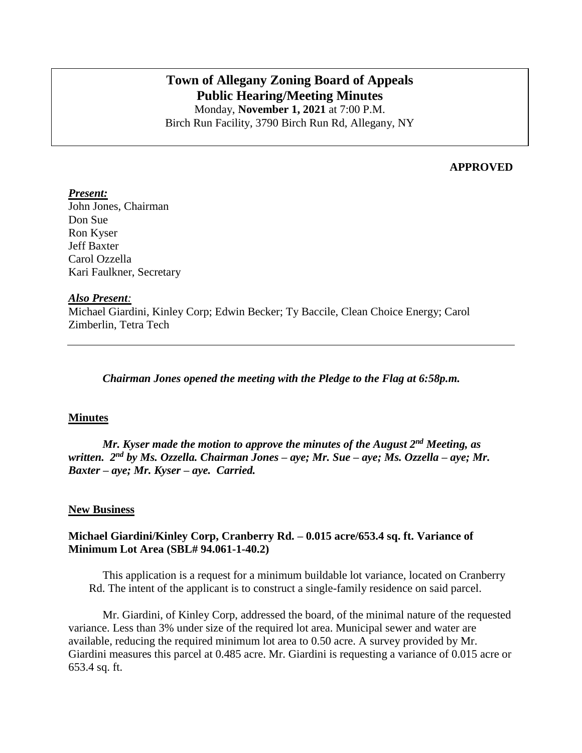# **Town of Allegany Zoning Board of Appeals Public Hearing/Meeting Minutes**

Monday, **November 1, 2021** at 7:00 P.M. Birch Run Facility, 3790 Birch Run Rd, Allegany, NY

### **APPROVED**

#### *Present:*

John Jones, Chairman Don Sue Ron Kyser Jeff Baxter Carol Ozzella Kari Faulkner, Secretary

#### *Also Present:*

Michael Giardini, Kinley Corp; Edwin Becker; Ty Baccile, Clean Choice Energy; Carol Zimberlin, Tetra Tech

*Chairman Jones opened the meeting with the Pledge to the Flag at 6:58p.m.*

#### **Minutes**

*Mr. Kyser made the motion to approve the minutes of the August 2nd Meeting, as written. 2 nd by Ms. Ozzella. Chairman Jones – aye; Mr. Sue – aye; Ms. Ozzella – aye; Mr. Baxter – aye; Mr. Kyser – aye. Carried.*

#### **New Business**

#### **Michael Giardini/Kinley Corp, Cranberry Rd. – 0.015 acre/653.4 sq. ft. Variance of Minimum Lot Area (SBL# 94.061-1-40.2)**

This application is a request for a minimum buildable lot variance, located on Cranberry Rd. The intent of the applicant is to construct a single-family residence on said parcel.

Mr. Giardini, of Kinley Corp, addressed the board, of the minimal nature of the requested variance. Less than 3% under size of the required lot area. Municipal sewer and water are available, reducing the required minimum lot area to 0.50 acre. A survey provided by Mr. Giardini measures this parcel at 0.485 acre. Mr. Giardini is requesting a variance of 0.015 acre or 653.4 sq. ft.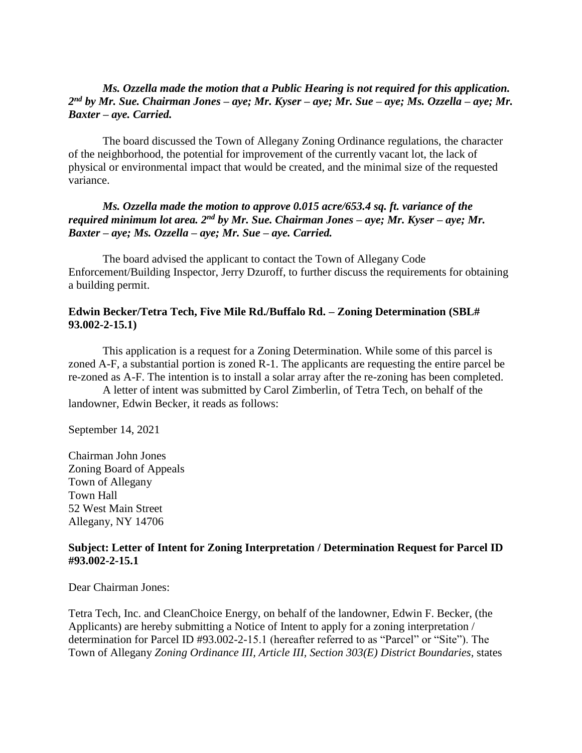## *Ms. Ozzella made the motion that a Public Hearing is not required for this application. 2 nd by Mr. Sue. Chairman Jones – aye; Mr. Kyser – aye; Mr. Sue – aye; Ms. Ozzella – aye; Mr. Baxter – aye. Carried.*

The board discussed the Town of Allegany Zoning Ordinance regulations, the character of the neighborhood, the potential for improvement of the currently vacant lot, the lack of physical or environmental impact that would be created, and the minimal size of the requested variance.

## *Ms. Ozzella made the motion to approve 0.015 acre/653.4 sq. ft. variance of the required minimum lot area. 2nd by Mr. Sue. Chairman Jones – aye; Mr. Kyser – aye; Mr. Baxter – aye; Ms. Ozzella – aye; Mr. Sue – aye. Carried.*

The board advised the applicant to contact the Town of Allegany Code Enforcement/Building Inspector, Jerry Dzuroff, to further discuss the requirements for obtaining a building permit.

## **Edwin Becker/Tetra Tech, Five Mile Rd./Buffalo Rd. – Zoning Determination (SBL# 93.002-2-15.1)**

This application is a request for a Zoning Determination. While some of this parcel is zoned A-F, a substantial portion is zoned R-1. The applicants are requesting the entire parcel be re-zoned as A-F. The intention is to install a solar array after the re-zoning has been completed.

A letter of intent was submitted by Carol Zimberlin, of Tetra Tech, on behalf of the landowner, Edwin Becker, it reads as follows:

September 14, 2021

Chairman John Jones Zoning Board of Appeals Town of Allegany Town Hall 52 West Main Street Allegany, NY 14706

#### **Subject: Letter of Intent for Zoning Interpretation / Determination Request for Parcel ID #93.002-2-15.1**

Dear Chairman Jones:

Tetra Tech, Inc. and CleanChoice Energy, on behalf of the landowner, Edwin F. Becker, (the Applicants) are hereby submitting a Notice of Intent to apply for a zoning interpretation / determination for Parcel ID #93.002-2-15.1 (hereafter referred to as "Parcel" or "Site"). The Town of Allegany *Zoning Ordinance III, Article III, Section 303(E) District Boundaries,* states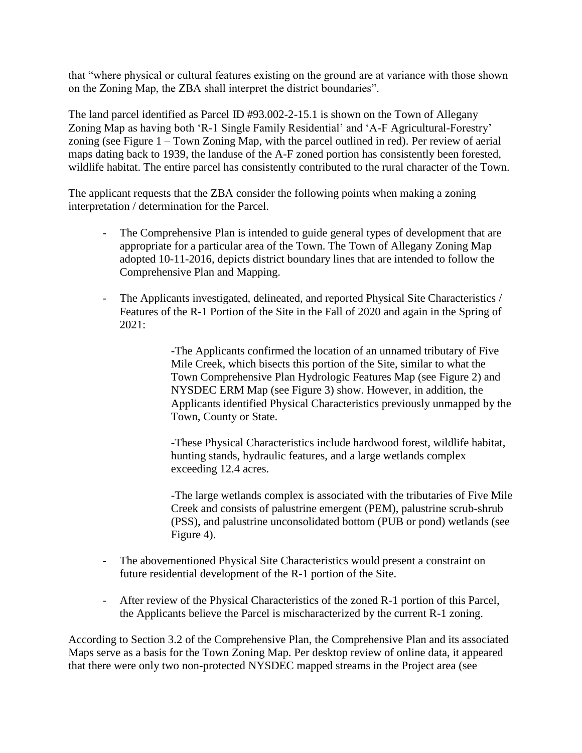that "where physical or cultural features existing on the ground are at variance with those shown on the Zoning Map, the ZBA shall interpret the district boundaries".

The land parcel identified as Parcel ID #93.002-2-15.1 is shown on the Town of Allegany Zoning Map as having both 'R-1 Single Family Residential' and 'A-F Agricultural-Forestry' zoning (see Figure 1 – Town Zoning Map, with the parcel outlined in red). Per review of aerial maps dating back to 1939, the landuse of the A-F zoned portion has consistently been forested, wildlife habitat. The entire parcel has consistently contributed to the rural character of the Town.

The applicant requests that the ZBA consider the following points when making a zoning interpretation / determination for the Parcel.

- The Comprehensive Plan is intended to guide general types of development that are appropriate for a particular area of the Town. The Town of Allegany Zoning Map adopted 10-11-2016, depicts district boundary lines that are intended to follow the Comprehensive Plan and Mapping.
- The Applicants investigated, delineated, and reported Physical Site Characteristics / Features of the R-1 Portion of the Site in the Fall of 2020 and again in the Spring of 2021:

-The Applicants confirmed the location of an unnamed tributary of Five Mile Creek, which bisects this portion of the Site, similar to what the Town Comprehensive Plan Hydrologic Features Map (see Figure 2) and NYSDEC ERM Map (see Figure 3) show. However, in addition, the Applicants identified Physical Characteristics previously unmapped by the Town, County or State.

-These Physical Characteristics include hardwood forest, wildlife habitat, hunting stands, hydraulic features, and a large wetlands complex exceeding 12.4 acres.

-The large wetlands complex is associated with the tributaries of Five Mile Creek and consists of palustrine emergent (PEM), palustrine scrub-shrub (PSS), and palustrine unconsolidated bottom (PUB or pond) wetlands (see Figure 4).

- The abovementioned Physical Site Characteristics would present a constraint on future residential development of the R-1 portion of the Site.
- After review of the Physical Characteristics of the zoned R-1 portion of this Parcel, the Applicants believe the Parcel is mischaracterized by the current R-1 zoning.

According to Section 3.2 of the Comprehensive Plan, the Comprehensive Plan and its associated Maps serve as a basis for the Town Zoning Map. Per desktop review of online data, it appeared that there were only two non-protected NYSDEC mapped streams in the Project area (see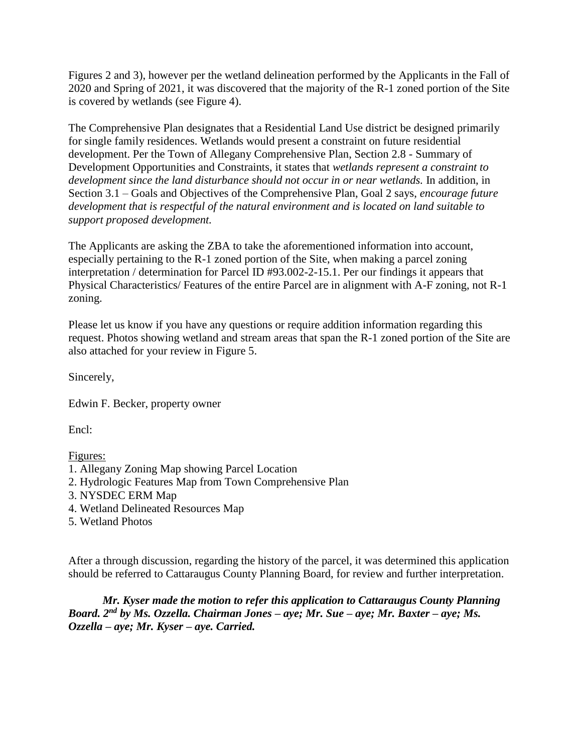Figures 2 and 3), however per the wetland delineation performed by the Applicants in the Fall of 2020 and Spring of 2021, it was discovered that the majority of the R-1 zoned portion of the Site is covered by wetlands (see Figure 4).

The Comprehensive Plan designates that a Residential Land Use district be designed primarily for single family residences. Wetlands would present a constraint on future residential development. Per the Town of Allegany Comprehensive Plan, Section 2.8 - Summary of Development Opportunities and Constraints, it states that *wetlands represent a constraint to*  development since the land disturbance should not occur in or near wetlands. In addition, in Section 3.1 – Goals and Objectives of the Comprehensive Plan, Goal 2 says, *encourage future development that is respectful of the natural environment and is located on land suitable to support proposed development.*

The Applicants are asking the ZBA to take the aforementioned information into account, especially pertaining to the R-1 zoned portion of the Site, when making a parcel zoning interpretation / determination for Parcel ID #93.002-2-15.1. Per our findings it appears that Physical Characteristics/ Features of the entire Parcel are in alignment with A-F zoning, not R-1 zoning.

Please let us know if you have any questions or require addition information regarding this request. Photos showing wetland and stream areas that span the R-1 zoned portion of the Site are also attached for your review in Figure 5.

Sincerely,

Edwin F. Becker, property owner

Encl:

Figures:

- 1. Allegany Zoning Map showing Parcel Location
- 2. Hydrologic Features Map from Town Comprehensive Plan
- 3. NYSDEC ERM Map
- 4. Wetland Delineated Resources Map
- 5. Wetland Photos

After a through discussion, regarding the history of the parcel, it was determined this application should be referred to Cattaraugus County Planning Board, for review and further interpretation.

*Mr. Kyser made the motion to refer this application to Cattaraugus County Planning Board. 2nd by Ms. Ozzella. Chairman Jones – aye; Mr. Sue – aye; Mr. Baxter – aye; Ms. Ozzella – aye; Mr. Kyser – aye. Carried.*